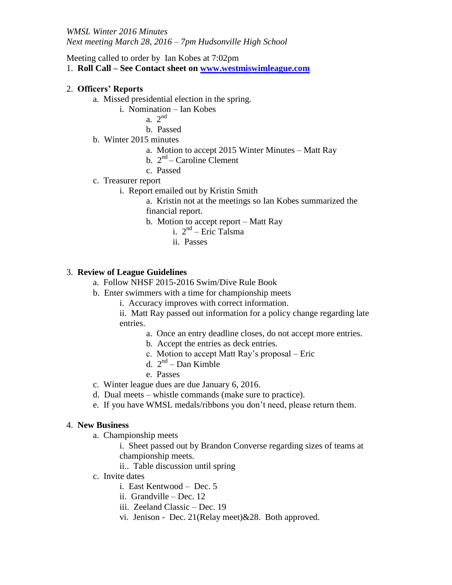Meeting called to order by Ian Kobes at 7:02pm

1. **Roll Call – See Contact sheet on [www.westmiswimleague.com](http://www.westmiswimleague.com/)**

# 2. **Officers' Reports**

- a. Missed presidential election in the spring.
	- i. Nomination Ian Kobes

a.  $2^{nd}$ 

- b. Passed
- b. Winter 2015 minutes
	- a. Motion to accept 2015 Winter Minutes Matt Ray
	- b.  $2<sup>nd</sup>$  Caroline Clement
	- c. Passed

### c. Treasurer report

- i. Report emailed out by Kristin Smith
	- a. Kristin not at the meetings so Ian Kobes summarized the financial report.
	- b. Motion to accept report Matt Ray
		- i. 2nd Eric Talsma
		- ii. Passes

# 3. **Review of League Guidelines**

- a. Follow NHSF 2015-2016 Swim/Dive Rule Book
- b. Enter swimmers with a time for championship meets
	- i. Accuracy improves with correct information.
	- ii. Matt Ray passed out information for a policy change regarding late entries.
		- a. Once an entry deadline closes, do not accept more entries.
		- b. Accept the entries as deck entries.
		- c. Motion to accept Matt Ray's proposal Eric
		- d. 2nd Dan Kimble
		- e. Passes
- c. Winter league dues are due January 6, 2016.
- d. Dual meets whistle commands (make sure to practice).
- e. If you have WMSL medals/ribbons you don't need, please return them.

#### 4. **New Business**

- a. Championship meets
	- i. Sheet passed out by Brandon Converse regarding sizes of teams at championship meets.
	- ii.. Table discussion until spring
- c. Invite dates
	- i. East Kentwood Dec. 5
	- ii. Grandville Dec. 12
	- iii. Zeeland Classic Dec. 19
	- vi. Jenison Dec. 21(Relay meet)&28. Both approved.